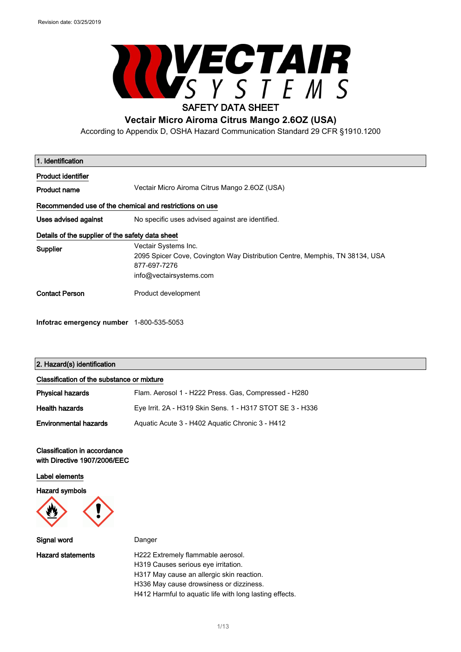

According to Appendix D, OSHA Hazard Communication Standard 29 CFR §1910.1200

| 1. Identification                                |                                                                                                                                                |
|--------------------------------------------------|------------------------------------------------------------------------------------------------------------------------------------------------|
| Product identifier                               |                                                                                                                                                |
| Product name                                     | Vectair Micro Airoma Citrus Mango 2.6OZ (USA)                                                                                                  |
|                                                  | Recommended use of the chemical and restrictions on use                                                                                        |
| Uses advised against                             | No specific uses advised against are identified.                                                                                               |
| Details of the supplier of the safety data sheet |                                                                                                                                                |
| Supplier                                         | Vectair Systems Inc.<br>2095 Spicer Cove, Covington Way Distribution Centre, Memphis, TN 38134, USA<br>877-697-7276<br>info@vectairsystems.com |
| <b>Contact Person</b>                            | Product development                                                                                                                            |

### 2. Hazard(s) identification

**Infotrac emergency number** 1-800-535-5053

| Classification of the substance or mixture |                                                           |
|--------------------------------------------|-----------------------------------------------------------|
| Physical hazards                           | Flam. Aerosol 1 - H222 Press. Gas, Compressed - H280      |
| Health hazards                             | Eye Irrit. 2A - H319 Skin Sens. 1 - H317 STOT SE 3 - H336 |
| <b>Environmental hazards</b>               | Aguatic Acute 3 - H402 Aguatic Chronic 3 - H412           |

### Classification in accordance with Directive 1907/2006/EEC

Label elements

Hazard symbols



Signal word Danger

Hazard statements **H222 Extremely flammable aerosol.** H319 Causes serious eye irritation. H317 May cause an allergic skin reaction. H336 May cause drowsiness or dizziness.

H412 Harmful to aquatic life with long lasting effects.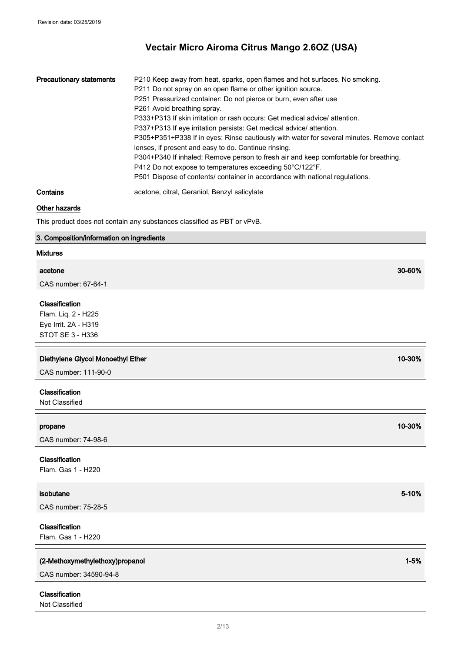| <b>Precautionary statements</b> | P210 Keep away from heat, sparks, open flames and hot surfaces. No smoking.<br>P211 Do not spray on an open flame or other ignition source.<br>P251 Pressurized container: Do not pierce or burn, even after use<br>P261 Avoid breathing spray.<br>P333+P313 If skin irritation or rash occurs: Get medical advice/attention.<br>P337+P313 If eye irritation persists: Get medical advice/attention.<br>P305+P351+P338 If in eyes: Rinse cautiously with water for several minutes. Remove contact<br>lenses, if present and easy to do. Continue rinsing.<br>P304+P340 If inhaled: Remove person to fresh air and keep comfortable for breathing.<br>P412 Do not expose to temperatures exceeding 50°C/122°F.<br>P501 Dispose of contents/ container in accordance with national regulations. |
|---------------------------------|------------------------------------------------------------------------------------------------------------------------------------------------------------------------------------------------------------------------------------------------------------------------------------------------------------------------------------------------------------------------------------------------------------------------------------------------------------------------------------------------------------------------------------------------------------------------------------------------------------------------------------------------------------------------------------------------------------------------------------------------------------------------------------------------|
| Contains                        | acetone, citral, Geraniol, Benzyl salicylate                                                                                                                                                                                                                                                                                                                                                                                                                                                                                                                                                                                                                                                                                                                                                   |

## Other hazards

This product does not contain any substances classified as PBT or vPvB.

# 3. Composition/information on ingredients

### Mixtures

| acetone                                                                           | 30-60%   |
|-----------------------------------------------------------------------------------|----------|
| CAS number: 67-64-1                                                               |          |
| Classification<br>Flam. Liq. 2 - H225<br>Eye Irrit. 2A - H319<br>STOT SE 3 - H336 |          |
| Diethylene Glycol Monoethyl Ether<br>CAS number: 111-90-0                         | 10-30%   |
| Classification<br>Not Classified                                                  |          |
| propane<br>CAS number: 74-98-6                                                    | 10-30%   |
| Classification<br>Flam. Gas 1 - H220                                              |          |
| isobutane<br>CAS number: 75-28-5                                                  | 5-10%    |
| Classification<br>Flam. Gas 1 - H220                                              |          |
| (2-Methoxymethylethoxy)propanol<br>CAS number: 34590-94-8                         | $1 - 5%$ |
| Classification<br>Not Classified                                                  |          |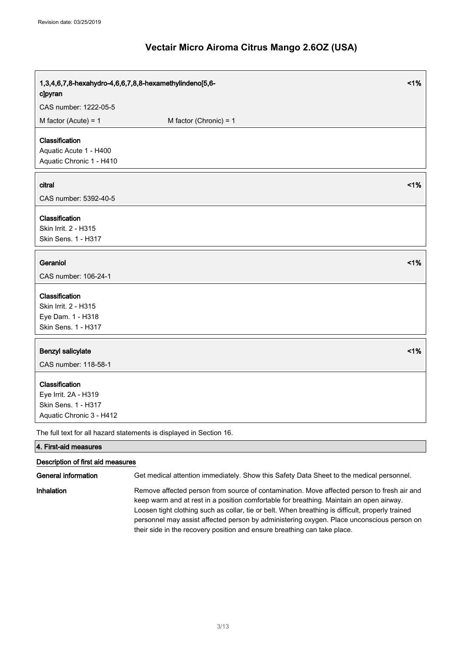| 1,3,4,6,7,8-hexahydro-4,6,6,7,8,8-hexamethylindeno[5,6-<br>clpyran                        | 1%                                                                                                                                                                                    |
|-------------------------------------------------------------------------------------------|---------------------------------------------------------------------------------------------------------------------------------------------------------------------------------------|
| CAS number: 1222-05-5                                                                     |                                                                                                                                                                                       |
| M factor (Acute) = $1$                                                                    | M factor (Chronic) = $1$                                                                                                                                                              |
| Classification<br>Aquatic Acute 1 - H400<br>Aquatic Chronic 1 - H410                      |                                                                                                                                                                                       |
| citral<br>CAS number: 5392-40-5                                                           | 1%                                                                                                                                                                                    |
| Classification<br>Skin Irrit. 2 - H315<br>Skin Sens. 1 - H317                             |                                                                                                                                                                                       |
| Geraniol<br>CAS number: 106-24-1                                                          | 1%                                                                                                                                                                                    |
|                                                                                           |                                                                                                                                                                                       |
| Classification<br>Skin Irrit. 2 - H315<br>Eye Dam. 1 - H318<br>Skin Sens. 1 - H317        |                                                                                                                                                                                       |
| <b>Benzyl salicylate</b><br>CAS number: 118-58-1                                          | 1%                                                                                                                                                                                    |
| Classification<br>Eye Irrit. 2A - H319<br>Skin Sens. 1 - H317<br>Aquatic Chronic 3 - H412 |                                                                                                                                                                                       |
|                                                                                           | The full text for all hazard statements is displayed in Section 16.                                                                                                                   |
| 4. First-aid measures                                                                     |                                                                                                                                                                                       |
| Description of first aid measures                                                         |                                                                                                                                                                                       |
| <b>General information</b>                                                                | Get medical attention immediately. Show this Safety Data Sheet to the medical personnel.                                                                                              |
| Inhalation                                                                                | Remove affected person from source of contamination. Move affected person to fresh air and<br>keep warm and at rest in a position comfortable for breathing. Maintain an open airway. |

Loosen tight clothing such as collar, tie or belt. When breathing is difficult, properly trained personnel may assist affected person by administering oxygen. Place unconscious person on

their side in the recovery position and ensure breathing can take place.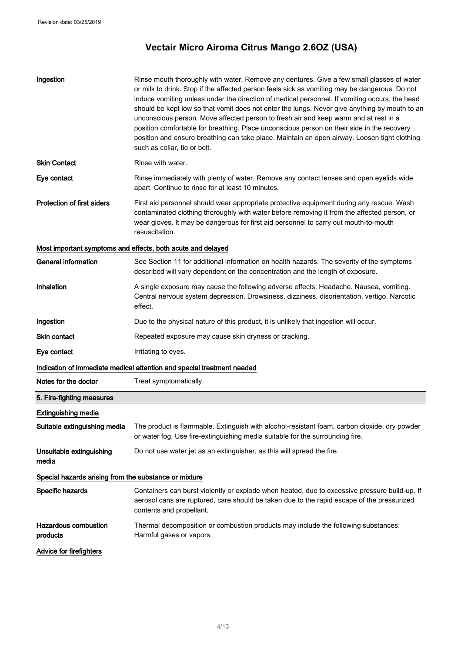| Ingestion                                             | Rinse mouth thoroughly with water. Remove any dentures. Give a few small glasses of water<br>or milk to drink. Stop if the affected person feels sick as vomiting may be dangerous. Do not<br>induce vomiting unless under the direction of medical personnel. If vomiting occurs, the head<br>should be kept low so that vomit does not enter the lungs. Never give anything by mouth to an<br>unconscious person. Move affected person to fresh air and keep warm and at rest in a<br>position comfortable for breathing. Place unconscious person on their side in the recovery<br>position and ensure breathing can take place. Maintain an open airway. Loosen tight clothing<br>such as collar, tie or belt. |
|-------------------------------------------------------|--------------------------------------------------------------------------------------------------------------------------------------------------------------------------------------------------------------------------------------------------------------------------------------------------------------------------------------------------------------------------------------------------------------------------------------------------------------------------------------------------------------------------------------------------------------------------------------------------------------------------------------------------------------------------------------------------------------------|
| <b>Skin Contact</b>                                   | Rinse with water.                                                                                                                                                                                                                                                                                                                                                                                                                                                                                                                                                                                                                                                                                                  |
| Eye contact                                           | Rinse immediately with plenty of water. Remove any contact lenses and open eyelids wide<br>apart. Continue to rinse for at least 10 minutes.                                                                                                                                                                                                                                                                                                                                                                                                                                                                                                                                                                       |
| <b>Protection of first aiders</b>                     | First aid personnel should wear appropriate protective equipment during any rescue. Wash<br>contaminated clothing thoroughly with water before removing it from the affected person, or<br>wear gloves. It may be dangerous for first aid personnel to carry out mouth-to-mouth<br>resuscitation.                                                                                                                                                                                                                                                                                                                                                                                                                  |
|                                                       | Most important symptoms and effects, both acute and delayed                                                                                                                                                                                                                                                                                                                                                                                                                                                                                                                                                                                                                                                        |
| <b>General information</b>                            | See Section 11 for additional information on health hazards. The severity of the symptoms<br>described will vary dependent on the concentration and the length of exposure.                                                                                                                                                                                                                                                                                                                                                                                                                                                                                                                                        |
| Inhalation                                            | A single exposure may cause the following adverse effects: Headache. Nausea, vomiting.<br>Central nervous system depression. Drowsiness, dizziness, disorientation, vertigo. Narcotic<br>effect.                                                                                                                                                                                                                                                                                                                                                                                                                                                                                                                   |
| Ingestion                                             | Due to the physical nature of this product, it is unlikely that ingestion will occur.                                                                                                                                                                                                                                                                                                                                                                                                                                                                                                                                                                                                                              |
| <b>Skin contact</b>                                   | Repeated exposure may cause skin dryness or cracking.                                                                                                                                                                                                                                                                                                                                                                                                                                                                                                                                                                                                                                                              |
| Eye contact                                           | Irritating to eyes.                                                                                                                                                                                                                                                                                                                                                                                                                                                                                                                                                                                                                                                                                                |
|                                                       | Indication of immediate medical attention and special treatment needed                                                                                                                                                                                                                                                                                                                                                                                                                                                                                                                                                                                                                                             |
| Notes for the doctor                                  | Treat symptomatically.                                                                                                                                                                                                                                                                                                                                                                                                                                                                                                                                                                                                                                                                                             |
| 5. Fire-fighting measures                             |                                                                                                                                                                                                                                                                                                                                                                                                                                                                                                                                                                                                                                                                                                                    |
| <b>Extinguishing media</b>                            |                                                                                                                                                                                                                                                                                                                                                                                                                                                                                                                                                                                                                                                                                                                    |
| Suitable extinguishing media                          | The product is flammable. Extinguish with alcohol-resistant foam, carbon dioxide, dry powder<br>or water fog. Use fire-extinguishing media suitable for the surrounding fire.                                                                                                                                                                                                                                                                                                                                                                                                                                                                                                                                      |
| Unsuitable extinguishing<br>media                     | Do not use water jet as an extinguisher, as this will spread the fire.                                                                                                                                                                                                                                                                                                                                                                                                                                                                                                                                                                                                                                             |
| Special hazards arising from the substance or mixture |                                                                                                                                                                                                                                                                                                                                                                                                                                                                                                                                                                                                                                                                                                                    |
| Specific hazards                                      | Containers can burst violently or explode when heated, due to excessive pressure build-up. If<br>aerosol cans are ruptured, care should be taken due to the rapid escape of the pressurized<br>contents and propellant.                                                                                                                                                                                                                                                                                                                                                                                                                                                                                            |
| <b>Hazardous combustion</b><br>products               | Thermal decomposition or combustion products may include the following substances:<br>Harmful gases or vapors.                                                                                                                                                                                                                                                                                                                                                                                                                                                                                                                                                                                                     |
| <b>Advice for firefighters</b>                        |                                                                                                                                                                                                                                                                                                                                                                                                                                                                                                                                                                                                                                                                                                                    |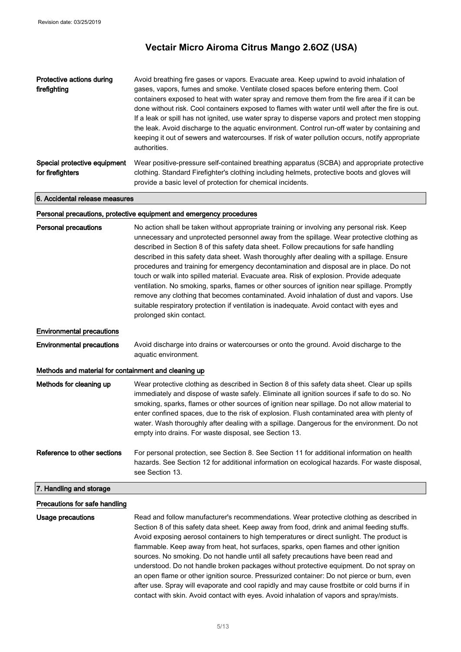| Protective actions during<br>firefighting        | Avoid breathing fire gases or vapors. Evacuate area. Keep upwind to avoid inhalation of<br>gases, vapors, fumes and smoke. Ventilate closed spaces before entering them. Cool<br>containers exposed to heat with water spray and remove them from the fire area if it can be<br>done without risk. Cool containers exposed to flames with water until well after the fire is out.<br>If a leak or spill has not ignited, use water spray to disperse vapors and protect men stopping<br>the leak. Avoid discharge to the aquatic environment. Control run-off water by containing and<br>keeping it out of sewers and watercourses. If risk of water pollution occurs, notify appropriate<br>authorities. |
|--------------------------------------------------|-----------------------------------------------------------------------------------------------------------------------------------------------------------------------------------------------------------------------------------------------------------------------------------------------------------------------------------------------------------------------------------------------------------------------------------------------------------------------------------------------------------------------------------------------------------------------------------------------------------------------------------------------------------------------------------------------------------|
| Special protective equipment<br>for firefighters | Wear positive-pressure self-contained breathing apparatus (SCBA) and appropriate protective<br>clothing. Standard Firefighter's clothing including helmets, protective boots and gloves will<br>provide a basic level of protection for chemical incidents.                                                                                                                                                                                                                                                                                                                                                                                                                                               |

6. Accidental release measures

#### Personal precautions, protective equipment and emergency procedures

| <b>Personal precautions</b>                          | No action shall be taken without appropriate training or involving any personal risk. Keep<br>unnecessary and unprotected personnel away from the spillage. Wear protective clothing as<br>described in Section 8 of this safety data sheet. Follow precautions for safe handling<br>described in this safety data sheet. Wash thoroughly after dealing with a spillage. Ensure<br>procedures and training for emergency decontamination and disposal are in place. Do not<br>touch or walk into spilled material. Evacuate area. Risk of explosion. Provide adequate<br>ventilation. No smoking, sparks, flames or other sources of ignition near spillage. Promptly<br>remove any clothing that becomes contaminated. Avoid inhalation of dust and vapors. Use<br>suitable respiratory protection if ventilation is inadequate. Avoid contact with eyes and<br>prolonged skin contact. |  |
|------------------------------------------------------|------------------------------------------------------------------------------------------------------------------------------------------------------------------------------------------------------------------------------------------------------------------------------------------------------------------------------------------------------------------------------------------------------------------------------------------------------------------------------------------------------------------------------------------------------------------------------------------------------------------------------------------------------------------------------------------------------------------------------------------------------------------------------------------------------------------------------------------------------------------------------------------|--|
| <b>Environmental precautions</b>                     |                                                                                                                                                                                                                                                                                                                                                                                                                                                                                                                                                                                                                                                                                                                                                                                                                                                                                          |  |
| <b>Environmental precautions</b>                     | Avoid discharge into drains or watercourses or onto the ground. Avoid discharge to the<br>aquatic environment.                                                                                                                                                                                                                                                                                                                                                                                                                                                                                                                                                                                                                                                                                                                                                                           |  |
| Methods and material for containment and cleaning up |                                                                                                                                                                                                                                                                                                                                                                                                                                                                                                                                                                                                                                                                                                                                                                                                                                                                                          |  |
| Methods for cleaning up                              | Wear protective clothing as described in Section 8 of this safety data sheet. Clear up spills<br>immediately and dispose of waste safely. Eliminate all ignition sources if safe to do so. No<br>smoking, sparks, flames or other sources of ignition near spillage. Do not allow material to<br>enter confined spaces, due to the risk of explosion. Flush contaminated area with plenty of<br>water. Wash thoroughly after dealing with a spillage. Dangerous for the environment. Do not<br>empty into drains. For waste disposal, see Section 13.                                                                                                                                                                                                                                                                                                                                    |  |
| Reference to other sections                          | For personal protection, see Section 8. See Section 11 for additional information on health<br>hazards. See Section 12 for additional information on ecological hazards. For waste disposal,<br>see Section 13.                                                                                                                                                                                                                                                                                                                                                                                                                                                                                                                                                                                                                                                                          |  |
| 7. Handling and storage                              |                                                                                                                                                                                                                                                                                                                                                                                                                                                                                                                                                                                                                                                                                                                                                                                                                                                                                          |  |
| Precautions for safe handling                        |                                                                                                                                                                                                                                                                                                                                                                                                                                                                                                                                                                                                                                                                                                                                                                                                                                                                                          |  |
| <b>Usage precautions</b>                             | Read and follow manufacturer's recommendations. Wear protective clothing as described in<br>Section 8 of this safety data sheet. Keep away from food, drink and animal feeding stuffs.<br>Avoid exposing aerosol containers to high temperatures or direct sunlight. The product is<br>flammable. Keep away from heat, hot surfaces, sparks, open flames and other ignition<br>sources. No smoking. Do not handle until all safety precautions have been read and                                                                                                                                                                                                                                                                                                                                                                                                                        |  |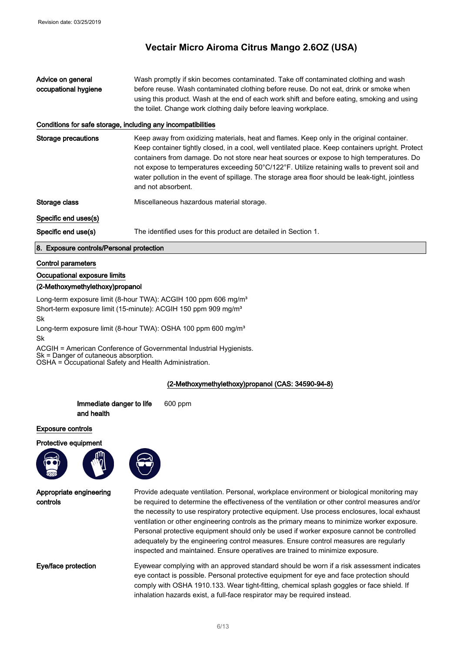Advice on general occupational hygiene Wash promptly if skin becomes contaminated. Take off contaminated clothing and wash before reuse. Wash contaminated clothing before reuse. Do not eat, drink or smoke when using this product. Wash at the end of each work shift and before eating, smoking and using the toilet. Change work clothing daily before leaving workplace.

#### Conditions for safe storage, including any incompatibilities

Storage precautions **Keep away from oxidizing materials, heat and flames. Keep only in the original container.** Keep container tightly closed, in a cool, well ventilated place. Keep containers upright. Protect containers from damage. Do not store near heat sources or expose to high temperatures. Do not expose to temperatures exceeding 50°C/122°F. Utilize retaining walls to prevent soil and water pollution in the event of spillage. The storage area floor should be leak-tight, jointless and not absorbent.

Storage class The Miscellaneous hazardous material storage.

#### Specific end uses(s)

Specific end use(s) The identified uses for this product are detailed in Section 1.

#### 8. Exposure controls/Personal protection

#### Control parameters

#### Occupational exposure limits

#### (2-Methoxymethylethoxy)propanol

Long-term exposure limit (8-hour TWA): ACGIH 100 ppm 606 mg/m<sup>3</sup> Short-term exposure limit (15-minute): ACGIH 150 ppm 909 mg/m<sup>3</sup> Sk

Long-term exposure limit (8-hour TWA): OSHA 100 ppm 600 mg/m<sup>3</sup> Sk

ACGIH = American Conference of Governmental Industrial Hygienists.

Sk = Danger of cutaneous absorption.

OSHA = Occupational Safety and Health Administration.

### (2-Methoxymethylethoxy)propanol (CAS: 34590-94-8)



Provide adequate ventilation. Personal, workplace environment or biological monitoring may be required to determine the effectiveness of the ventilation or other control measures and/or the necessity to use respiratory protective equipment. Use process enclosures, local exhaust ventilation or other engineering controls as the primary means to minimize worker exposure. Personal protective equipment should only be used if worker exposure cannot be controlled adequately by the engineering control measures. Ensure control measures are regularly inspected and maintained. Ensure operatives are trained to minimize exposure.

Eye/face protection Eyewear complying with an approved standard should be worn if a risk assessment indicates eye contact is possible. Personal protective equipment for eye and face protection should comply with OSHA 1910.133. Wear tight-fitting, chemical splash goggles or face shield. If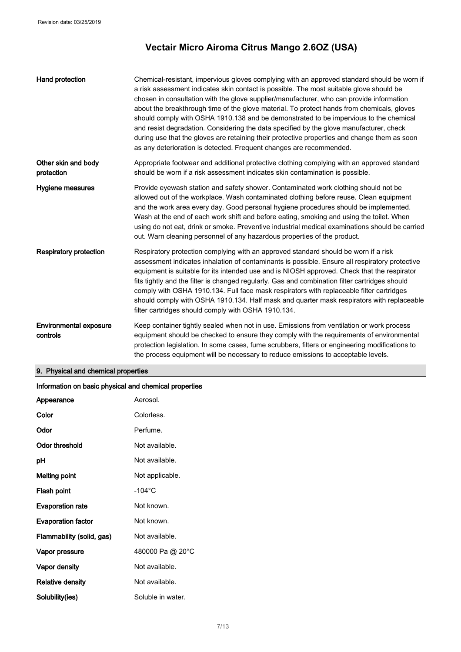| Hand protection                           | Chemical-resistant, impervious gloves complying with an approved standard should be worn if<br>a risk assessment indicates skin contact is possible. The most suitable glove should be<br>chosen in consultation with the glove supplier/manufacturer, who can provide information<br>about the breakthrough time of the glove material. To protect hands from chemicals, gloves<br>should comply with OSHA 1910.138 and be demonstrated to be impervious to the chemical<br>and resist degradation. Considering the data specified by the glove manufacturer, check<br>during use that the gloves are retaining their protective properties and change them as soon<br>as any deterioration is detected. Frequent changes are recommended. |
|-------------------------------------------|---------------------------------------------------------------------------------------------------------------------------------------------------------------------------------------------------------------------------------------------------------------------------------------------------------------------------------------------------------------------------------------------------------------------------------------------------------------------------------------------------------------------------------------------------------------------------------------------------------------------------------------------------------------------------------------------------------------------------------------------|
| Other skin and body<br>protection         | Appropriate footwear and additional protective clothing complying with an approved standard<br>should be worn if a risk assessment indicates skin contamination is possible.                                                                                                                                                                                                                                                                                                                                                                                                                                                                                                                                                                |
| Hygiene measures                          | Provide eyewash station and safety shower. Contaminated work clothing should not be<br>allowed out of the workplace. Wash contaminated clothing before reuse. Clean equipment<br>and the work area every day. Good personal hygiene procedures should be implemented.<br>Wash at the end of each work shift and before eating, smoking and using the toilet. When<br>using do not eat, drink or smoke. Preventive industrial medical examinations should be carried<br>out. Warn cleaning personnel of any hazardous properties of the product.                                                                                                                                                                                             |
| <b>Respiratory protection</b>             | Respiratory protection complying with an approved standard should be worn if a risk<br>assessment indicates inhalation of contaminants is possible. Ensure all respiratory protective<br>equipment is suitable for its intended use and is NIOSH approved. Check that the respirator<br>fits tightly and the filter is changed regularly. Gas and combination filter cartridges should<br>comply with OSHA 1910.134. Full face mask respirators with replaceable filter cartridges<br>should comply with OSHA 1910.134. Half mask and quarter mask respirators with replaceable<br>filter cartridges should comply with OSHA 1910.134.                                                                                                      |
| <b>Environmental exposure</b><br>controls | Keep container tightly sealed when not in use. Emissions from ventilation or work process<br>equipment should be checked to ensure they comply with the requirements of environmental<br>protection legislation. In some cases, fume scrubbers, filters or engineering modifications to<br>the process equipment will be necessary to reduce emissions to acceptable levels.                                                                                                                                                                                                                                                                                                                                                                |

# 9. Physical and chemical properties

# Information on basic physical and chemical properties

| Appearance                | Aerosol.          |
|---------------------------|-------------------|
| Color                     | Colorless.        |
| Odor                      | Perfume.          |
| <b>Odor threshold</b>     | Not available.    |
| рH                        | Not available.    |
| Melting point             | Not applicable.   |
| Flash point               | $-104$ °C         |
| <b>Evaporation rate</b>   | Not known.        |
| <b>Evaporation factor</b> | Not known.        |
| Flammability (solid, gas) | Not available.    |
| Vapor pressure            | 480000 Pa @ 20°C  |
| Vapor density             | Not available.    |
| Relative density          | Not available.    |
| Solubility(ies)           | Soluble in water. |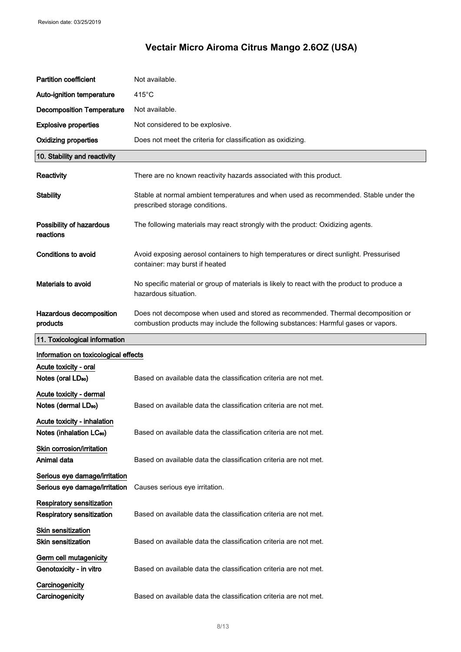| <b>Partition coefficient</b>                                         | Not available.                                                                                                                                                         |
|----------------------------------------------------------------------|------------------------------------------------------------------------------------------------------------------------------------------------------------------------|
| Auto-ignition temperature                                            | $415^{\circ}$ C                                                                                                                                                        |
| <b>Decomposition Temperature</b>                                     | Not available.                                                                                                                                                         |
| <b>Explosive properties</b>                                          | Not considered to be explosive.                                                                                                                                        |
| <b>Oxidizing properties</b>                                          | Does not meet the criteria for classification as oxidizing.                                                                                                            |
| 10. Stability and reactivity                                         |                                                                                                                                                                        |
| Reactivity                                                           | There are no known reactivity hazards associated with this product.                                                                                                    |
| <b>Stability</b>                                                     | Stable at normal ambient temperatures and when used as recommended. Stable under the<br>prescribed storage conditions.                                                 |
| Possibility of hazardous<br>reactions                                | The following materials may react strongly with the product: Oxidizing agents.                                                                                         |
| <b>Conditions to avoid</b>                                           | Avoid exposing aerosol containers to high temperatures or direct sunlight. Pressurised<br>container: may burst if heated                                               |
| Materials to avoid                                                   | No specific material or group of materials is likely to react with the product to produce a<br>hazardous situation.                                                    |
| Hazardous decomposition<br>products                                  | Does not decompose when used and stored as recommended. Thermal decomposition or<br>combustion products may include the following substances: Harmful gases or vapors. |
| 11. Toxicological information                                        |                                                                                                                                                                        |
| Information on toxicological effects                                 |                                                                                                                                                                        |
| Acute toxicity - oral<br>Notes (oral LD <sub>50</sub> )              | Based on available data the classification criteria are not met.                                                                                                       |
| Acute toxicity - dermal<br>Notes (dermal LD <sub>50</sub> )          |                                                                                                                                                                        |
|                                                                      | Based on available data the classification criteria are not met.                                                                                                       |
| Acute toxicity - inhalation<br>Notes (inhalation LC <sub>50</sub> )  | Based on available data the classification criteria are not met.                                                                                                       |
| Skin corrosion/irritation<br>Animal data                             | Based on available data the classification criteria are not met.                                                                                                       |
| Serious eye damage/irritation<br>Serious eye damage/irritation       | Causes serious eye irritation.                                                                                                                                         |
| <b>Respiratory sensitization</b><br><b>Respiratory sensitization</b> | Based on available data the classification criteria are not met.                                                                                                       |
| <b>Skin sensitization</b><br><b>Skin sensitization</b>               | Based on available data the classification criteria are not met.                                                                                                       |
| Germ cell mutagenicity<br>Genotoxicity - in vitro                    | Based on available data the classification criteria are not met.                                                                                                       |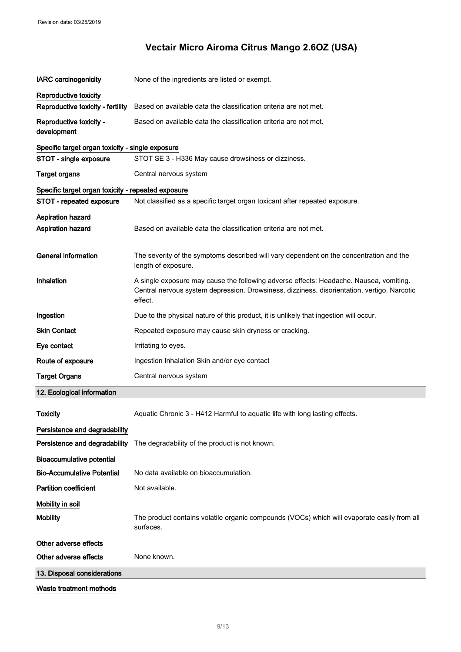| <b>IARC</b> carcinogenicity                        | None of the ingredients are listed or exempt.                                                                                                                                                    |  |
|----------------------------------------------------|--------------------------------------------------------------------------------------------------------------------------------------------------------------------------------------------------|--|
| Reproductive toxicity                              |                                                                                                                                                                                                  |  |
| Reproductive toxicity - fertility                  | Based on available data the classification criteria are not met.                                                                                                                                 |  |
| Reproductive toxicity -<br>development             | Based on available data the classification criteria are not met.                                                                                                                                 |  |
| Specific target organ toxicity - single exposure   |                                                                                                                                                                                                  |  |
| STOT - single exposure                             | STOT SE 3 - H336 May cause drowsiness or dizziness.                                                                                                                                              |  |
| <b>Target organs</b>                               | Central nervous system                                                                                                                                                                           |  |
| Specific target organ toxicity - repeated exposure |                                                                                                                                                                                                  |  |
| STOT - repeated exposure                           | Not classified as a specific target organ toxicant after repeated exposure.                                                                                                                      |  |
| <b>Aspiration hazard</b><br>Aspiration hazard      | Based on available data the classification criteria are not met.                                                                                                                                 |  |
| <b>General information</b>                         | The severity of the symptoms described will vary dependent on the concentration and the<br>length of exposure.                                                                                   |  |
| <b>Inhalation</b>                                  | A single exposure may cause the following adverse effects: Headache. Nausea, vomiting.<br>Central nervous system depression. Drowsiness, dizziness, disorientation, vertigo. Narcotic<br>effect. |  |
| Ingestion                                          | Due to the physical nature of this product, it is unlikely that ingestion will occur.                                                                                                            |  |
| <b>Skin Contact</b>                                | Repeated exposure may cause skin dryness or cracking.                                                                                                                                            |  |
| Eye contact                                        | Irritating to eyes.                                                                                                                                                                              |  |
| Route of exposure                                  | Ingestion Inhalation Skin and/or eye contact                                                                                                                                                     |  |
| <b>Target Organs</b>                               | Central nervous system                                                                                                                                                                           |  |
| 12. Ecological information                         |                                                                                                                                                                                                  |  |
| <b>Toxicity</b>                                    | Aquatic Chronic 3 - H412 Harmful to aquatic life with long lasting effects.                                                                                                                      |  |
| Persistence and degradability                      |                                                                                                                                                                                                  |  |
| Persistence and degradability                      | The degradability of the product is not known.                                                                                                                                                   |  |
| <b>Bioaccumulative potential</b>                   |                                                                                                                                                                                                  |  |
| <b>Bio-Accumulative Potential</b>                  | No data available on bioaccumulation.                                                                                                                                                            |  |
| <b>Partition coefficient</b>                       | Not available.                                                                                                                                                                                   |  |
| Mobility in soil                                   |                                                                                                                                                                                                  |  |
| <b>Mobility</b>                                    | The product contains volatile organic compounds (VOCs) which will evaporate easily from all<br>surfaces.                                                                                         |  |
| Other adverse effects                              |                                                                                                                                                                                                  |  |
| Other adverse effects                              | None known.                                                                                                                                                                                      |  |
| 13. Disposal considerations                        |                                                                                                                                                                                                  |  |
|                                                    |                                                                                                                                                                                                  |  |

Waste treatment methods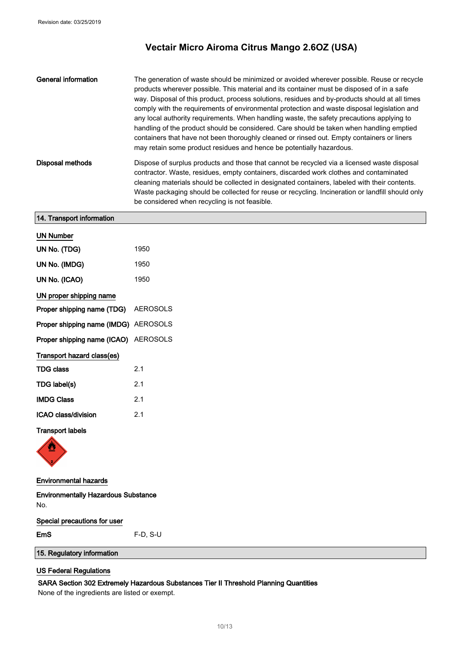| General information | The generation of waste should be minimized or avoided wherever possible. Reuse or recycle<br>products wherever possible. This material and its container must be disposed of in a safe<br>way. Disposal of this product, process solutions, residues and by-products should at all times<br>comply with the requirements of environmental protection and waste disposal legislation and<br>any local authority requirements. When handling waste, the safety precautions applying to<br>handling of the product should be considered. Care should be taken when handling emptied<br>containers that have not been thoroughly cleaned or rinsed out. Empty containers or liners<br>may retain some product residues and hence be potentially hazardous. |
|---------------------|---------------------------------------------------------------------------------------------------------------------------------------------------------------------------------------------------------------------------------------------------------------------------------------------------------------------------------------------------------------------------------------------------------------------------------------------------------------------------------------------------------------------------------------------------------------------------------------------------------------------------------------------------------------------------------------------------------------------------------------------------------|
| Disposal methods    | Dispose of surplus products and those that cannot be recycled via a licensed waste disposal<br>contractor. Waste, residues, empty containers, discarded work clothes and contaminated<br>cleaning materials should be collected in designated containers, labeled with their contents.<br>Waste packaging should be collected for reuse or recycling. Incineration or landfill should only<br>be considered when recycling is not feasible.                                                                                                                                                                                                                                                                                                             |

| 14. Transport information                         |                 |  |
|---------------------------------------------------|-----------------|--|
| <b>UN Number</b>                                  |                 |  |
| UN No. (TDG)                                      | 1950            |  |
| UN No. (IMDG)                                     | 1950            |  |
| UN No. (ICAO)                                     | 1950            |  |
| UN proper shipping name                           |                 |  |
| Proper shipping name (TDG)                        | <b>AEROSOLS</b> |  |
| Proper shipping name (IMDG) AEROSOLS              |                 |  |
| Proper shipping name (ICAO) AEROSOLS              |                 |  |
| Transport hazard class(es)                        |                 |  |
| <b>TDG class</b>                                  | 2.1             |  |
| TDG label(s)                                      | 2.1             |  |
| <b>IMDG Class</b>                                 | 2.1             |  |
| ICAO class/division                               | 2.1             |  |
| <b>Transport labels</b>                           |                 |  |
| $\clubsuit$                                       |                 |  |
| <b>Environmental hazards</b>                      |                 |  |
| <b>Environmentally Hazardous Substance</b><br>No. |                 |  |
| Special precautions for user                      |                 |  |

EmS F-D, S-U

## 15. Regulatory information

### US Federal Regulations

### SARA Section 302 Extremely Hazardous Substances Tier II Threshold Planning Quantities

None of the ingredients are listed or exempt.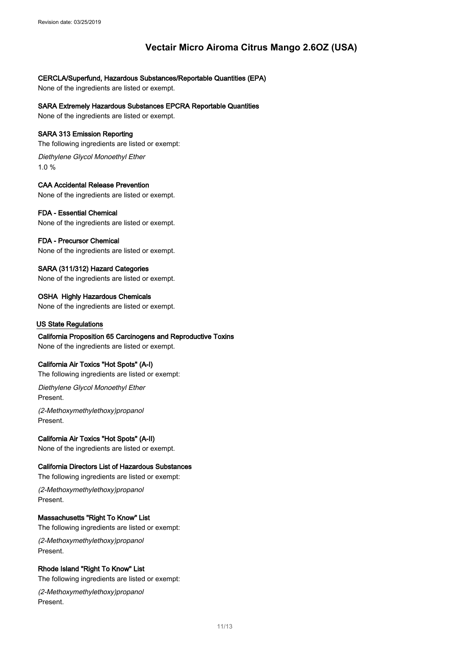### CERCLA/Superfund, Hazardous Substances/Reportable Quantities (EPA)

None of the ingredients are listed or exempt.

### SARA Extremely Hazardous Substances EPCRA Reportable Quantities

None of the ingredients are listed or exempt.

### SARA 313 Emission Reporting

The following ingredients are listed or exempt:

Diethylene Glycol Monoethyl Ether 1.0 %

### CAA Accidental Release Prevention

None of the ingredients are listed or exempt.

### FDA - Essential Chemical

None of the ingredients are listed or exempt.

### FDA - Precursor Chemical

None of the ingredients are listed or exempt.

### SARA (311/312) Hazard Categories

None of the ingredients are listed or exempt.

### OSHA Highly Hazardous Chemicals

None of the ingredients are listed or exempt.

### US State Regulations

### California Proposition 65 Carcinogens and Reproductive Toxins

None of the ingredients are listed or exempt.

### California Air Toxics "Hot Spots" (A-I)

The following ingredients are listed or exempt:

Diethylene Glycol Monoethyl Ether Present.

(2-Methoxymethylethoxy)propanol Present.

### California Air Toxics "Hot Spots" (A-II)

None of the ingredients are listed or exempt.

### California Directors List of Hazardous Substances

The following ingredients are listed or exempt:

(2-Methoxymethylethoxy)propanol Present.

### Massachusetts "Right To Know" List

The following ingredients are listed or exempt:

(2-Methoxymethylethoxy)propanol Present.

### Rhode Island "Right To Know" List

The following ingredients are listed or exempt:

(2-Methoxymethylethoxy)propanol Present.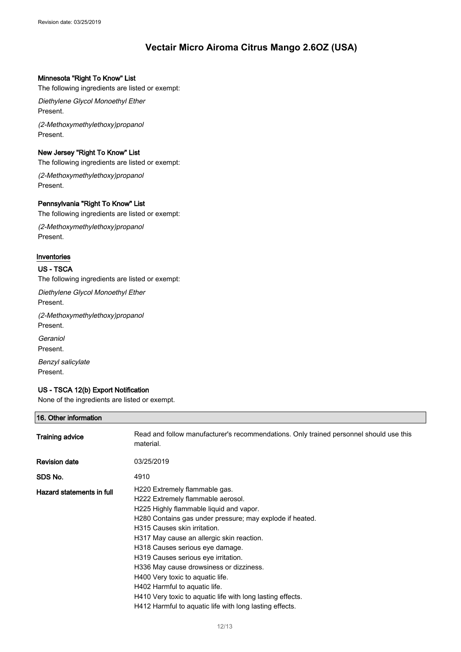#### Minnesota "Right To Know" List

The following ingredients are listed or exempt:

Diethylene Glycol Monoethyl Ether Present.

(2-Methoxymethylethoxy)propanol Present.

#### New Jersey "Right To Know" List

The following ingredients are listed or exempt:

(2-Methoxymethylethoxy)propanol Present.

### Pennsylvania "Right To Know" List

The following ingredients are listed or exempt:

(2-Methoxymethylethoxy)propanol Present.

### Inventories

### US - TSCA

The following ingredients are listed or exempt:

Diethylene Glycol Monoethyl Ether Present.

(2-Methoxymethylethoxy)propanol Present.

**Geraniol** 

Present.

Benzyl salicylate Present.

### US - TSCA 12(b) Export Notification

None of the ingredients are listed or exempt.

### 16. Other information

| Training advice           | Read and follow manufacturer's recommendations. Only trained personnel should use this<br>material.                                                                                                                                                                                                                                                                                                                                                                                                                                                                       |
|---------------------------|---------------------------------------------------------------------------------------------------------------------------------------------------------------------------------------------------------------------------------------------------------------------------------------------------------------------------------------------------------------------------------------------------------------------------------------------------------------------------------------------------------------------------------------------------------------------------|
| <b>Revision date</b>      | 03/25/2019                                                                                                                                                                                                                                                                                                                                                                                                                                                                                                                                                                |
| SDS No.                   | 4910                                                                                                                                                                                                                                                                                                                                                                                                                                                                                                                                                                      |
| Hazard statements in full | H220 Extremely flammable gas.<br>H222 Extremely flammable aerosol.<br>H225 Highly flammable liquid and vapor.<br>H280 Contains gas under pressure; may explode if heated.<br>H315 Causes skin irritation.<br>H317 May cause an allergic skin reaction.<br>H318 Causes serious eye damage.<br>H319 Causes serious eye irritation.<br>H336 May cause drowsiness or dizziness.<br>H400 Very toxic to aquatic life.<br>H402 Harmful to aquatic life.<br>H410 Very toxic to aquatic life with long lasting effects.<br>H412 Harmful to aquatic life with long lasting effects. |